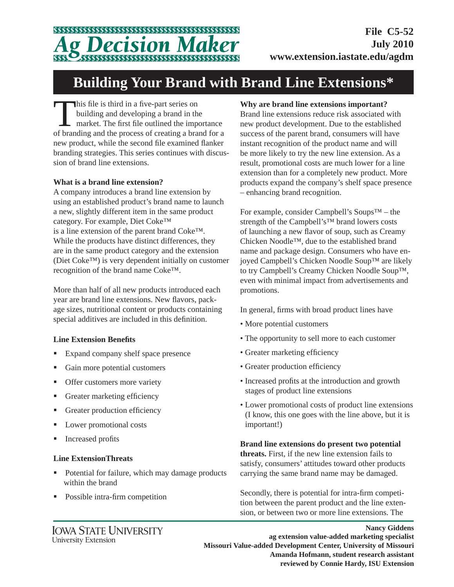# *Decision M*

**File C5-52 July 2010 www.extension.iastate.edu/agdm**

## **Building Your Brand with Brand Line Extensions\***

This file is third in a five-part series on<br>
building and developing a brand in the<br>
market. The first file outlined the importance<br>
of branding and the presents of greating a brand for a building and developing a brand in the of branding and the process of creating a brand for a new product, while the second file examined flanker branding strategies. This series continues with discussion of brand line extensions.

### **What is a brand line extension?**

A company introduces a brand line extension by using an established product's brand name to launch a new, slightly different item in the same product category. For example, Diet Coke™ is a line extension of the parent brand Coke™. While the products have distinct differences, they are in the same product category and the extension (Diet Coke™) is very dependent initially on customer recognition of the brand name Coke™.

More than half of all new products introduced each year are brand line extensions. New flavors, package sizes, nutritional content or products containing special additives are included in this definition.

#### **Line Extension Benefi ts**

- Expand company shelf space presence
- Gain more potential customers
- Offer customers more variety
- Greater marketing efficiency
- Greater production efficiency
- Lower promotional costs
- **Increased profits**

#### **Line ExtensionThreats**

- Potential for failure, which may damage products within the brand
- Possible intra-firm competition

### **Why are brand line extensions important?**

Brand line extensions reduce risk associated with new product development. Due to the established success of the parent brand, consumers will have instant recognition of the product name and will be more likely to try the new line extension. As a result, promotional costs are much lower for a line extension than for a completely new product. More products expand the company's shelf space presence – enhancing brand recognition.

For example, consider Campbell's Soups™ – the strength of the Campbell's™ brand lowers costs of launching a new flavor of soup, such as Creamy Chicken Noodle™, due to the established brand name and package design. Consumers who have enjoyed Campbell's Chicken Noodle Soup™ are likely to try Campbell's Creamy Chicken Noodle Soup™, even with minimal impact from advertisements and promotions.

In general, firms with broad product lines have

- More potential customers
- The opportunity to sell more to each customer
- Greater marketing efficiency
- Greater production efficiency
- Increased profits at the introduction and growth stages of product line extensions
- Lower promotional costs of product line extensions (I know, this one goes with the line above, but it is important!)

**Brand line extensions do present two potential threats.** First, if the new line extension fails to satisfy, consumers' attitudes toward other products carrying the same brand name may be damaged.

Secondly, there is potential for intra-firm competition between the parent product and the line extension, or between two or more line extensions. The

**Nancy Giddens ag extension value-added marketing specialist Missouri Value-added Development Center, University of Missouri Amanda Hofmann, student research assistant reviewed by Connie Hardy, ISU Extension**